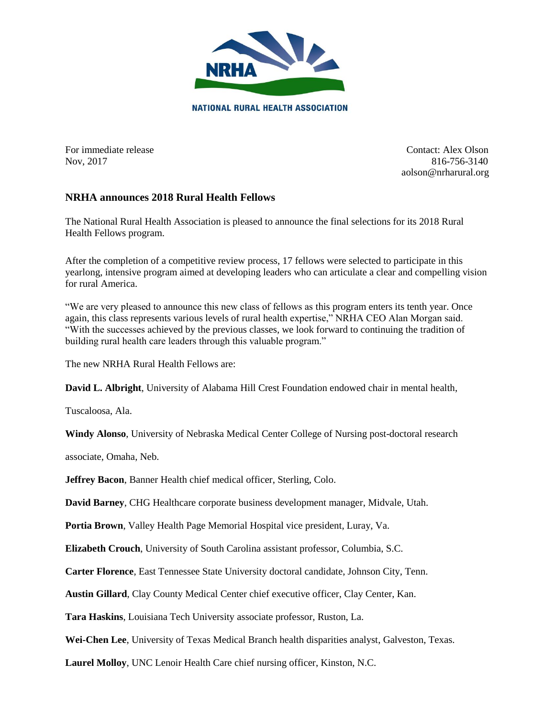

For immediate release **Contact:** Alex Olson Nov, 2017 816-756-3140 aolson@nrharural.org

## **NRHA announces 2018 Rural Health Fellows**

The National Rural Health Association is pleased to announce the final selections for its 2018 Rural Health Fellows program.

After the completion of a competitive review process, 17 fellows were selected to participate in this yearlong, intensive program aimed at developing leaders who can articulate a clear and compelling vision for rural America.

"We are very pleased to announce this new class of fellows as this program enters its tenth year. Once again, this class represents various levels of rural health expertise," NRHA CEO Alan Morgan said. "With the successes achieved by the previous classes, we look forward to continuing the tradition of building rural health care leaders through this valuable program."

The new NRHA Rural Health Fellows are:

**David L. Albright**, University of Alabama Hill Crest Foundation endowed chair in mental health,

Tuscaloosa, Ala.

**Windy Alonso**, University of Nebraska Medical Center College of Nursing post-doctoral research

associate, Omaha, Neb.

**Jeffrey Bacon**, Banner Health chief medical officer, Sterling, Colo.

**David Barney**, CHG Healthcare corporate business development manager, Midvale, Utah.

**Portia Brown**, Valley Health Page Memorial Hospital vice president, Luray, Va.

**Elizabeth Crouch**, University of South Carolina assistant professor, Columbia, S.C.

**Carter Florence**, East Tennessee State University doctoral candidate, Johnson City, Tenn.

**Austin Gillard**, Clay County Medical Center chief executive officer, Clay Center, Kan.

**Tara Haskins**, Louisiana Tech University associate professor, Ruston, La.

**Wei-Chen Lee**, University of Texas Medical Branch health disparities analyst, Galveston, Texas.

**Laurel Molloy**, UNC Lenoir Health Care chief nursing officer, Kinston, N.C.